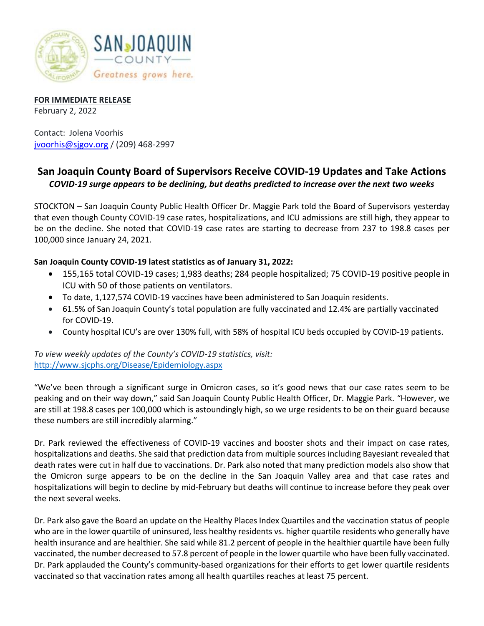

**FOR IMMEDIATE RELEASE** February 2, 2022

Contact: Jolena Voorhis [jvoorhis@sjgov.org](mailto:jvoorhis@sjgov.org) / (209) 468-2997

## **San Joaquin County Board of Supervisors Receive COVID-19 Updates and Take Actions** *COVID-19 surge appears to be declining, but deaths predicted to increase over the next two weeks*

STOCKTON – San Joaquin County Public Health Officer Dr. Maggie Park told the Board of Supervisors yesterday that even though County COVID-19 case rates, hospitalizations, and ICU admissions are still high, they appear to be on the decline. She noted that COVID-19 case rates are starting to decrease from 237 to 198.8 cases per 100,000 since January 24, 2021.

## **San Joaquin County COVID-19 latest statistics as of January 31, 2022:**

- 155,165 total COVID-19 cases; 1,983 deaths; 284 people hospitalized; 75 COVID-19 positive people in ICU with 50 of those patients on ventilators.
- To date, 1,127,574 COVID-19 vaccines have been administered to San Joaquin residents.
- 61.5% of San Joaquin County's total population are fully vaccinated and 12.4% are partially vaccinated for COVID-19.
- County hospital ICU's are over 130% full, with 58% of hospital ICU beds occupied by COVID-19 patients.

*To view weekly updates of the County's COVID-19 statistics, visit:*  <http://www.sjcphs.org/Disease/Epidemiology.aspx>

"We've been through a significant surge in Omicron cases, so it's good news that our case rates seem to be peaking and on their way down," said San Joaquin County Public Health Officer, Dr. Maggie Park. "However, we are still at 198.8 cases per 100,000 which is astoundingly high, so we urge residents to be on their guard because these numbers are still incredibly alarming."

Dr. Park reviewed the effectiveness of COVID-19 vaccines and booster shots and their impact on case rates, hospitalizations and deaths. She said that prediction data from multiple sources including Bayesiant revealed that death rates were cut in half due to vaccinations. Dr. Park also noted that many prediction models also show that the Omicron surge appears to be on the decline in the San Joaquin Valley area and that case rates and hospitalizations will begin to decline by mid-February but deaths will continue to increase before they peak over the next several weeks.

Dr. Park also gave the Board an update on the Healthy Places Index Quartiles and the vaccination status of people who are in the lower quartile of uninsured, less healthy residents vs. higher quartile residents who generally have health insurance and are healthier. She said while 81.2 percent of people in the healthier quartile have been fully vaccinated, the number decreased to 57.8 percent of people in the lower quartile who have been fully vaccinated. Dr. Park applauded the County's community-based organizations for their efforts to get lower quartile residents vaccinated so that vaccination rates among all health quartiles reaches at least 75 percent.